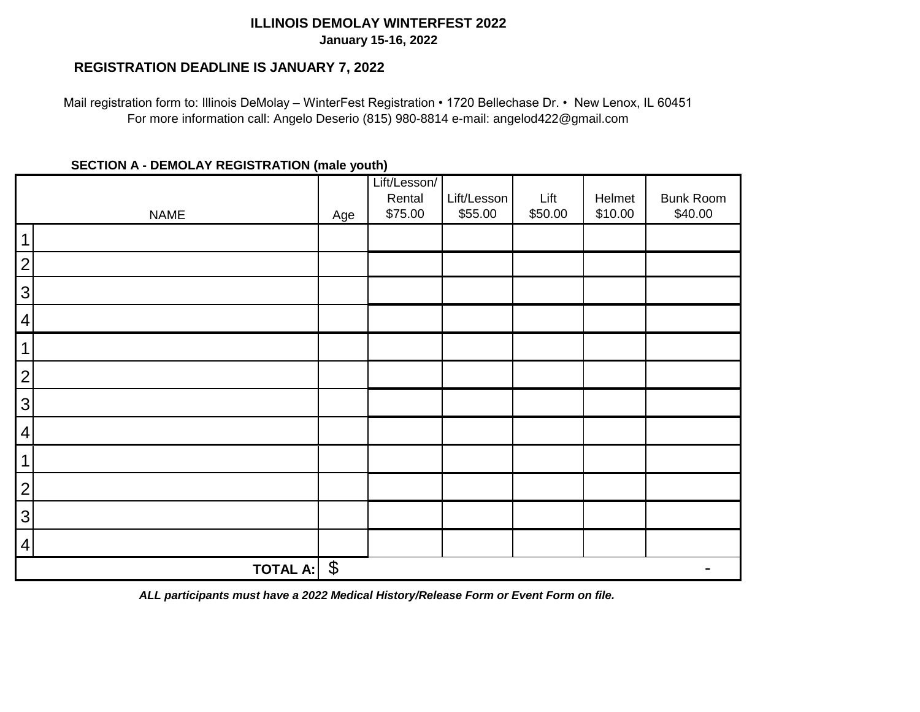## **ILLINOIS DEMOLAY WINTERFEST 2022 January 15-16, 2022**

## **REGISTRATION DEADLINE IS JANUARY 7, 2022**

Mail registration form to: Illinois DeMolay – WinterFest Registration • 1720 Bellechase Dr. • New Lenox, IL 60451 For more information call: Angelo Deserio (815) 980-8814 e-mail: angelod422@gmail.com

## **SECTION A - DEMOLAY REGISTRATION (male youth)**

|                                          |     | Lift/Lesson/<br>Rental | Lift/Lesson | Lift    | Helmet  | <b>Bunk Room</b> |
|------------------------------------------|-----|------------------------|-------------|---------|---------|------------------|
| <b>NAME</b>                              | Age | \$75.00                | \$55.00     | \$50.00 | \$10.00 | \$40.00          |
| 1                                        |     |                        |             |         |         |                  |
| $\overline{2}$                           |     |                        |             |         |         |                  |
| 3                                        |     |                        |             |         |         |                  |
| $\overline{4}$                           |     |                        |             |         |         |                  |
| 1                                        |     |                        |             |         |         |                  |
| $\overline{2}$                           |     |                        |             |         |         |                  |
| $\mathfrak{S}$                           |     |                        |             |         |         |                  |
| $\overline{4}$                           |     |                        |             |         |         |                  |
| $\mathbf 1$                              |     |                        |             |         |         |                  |
| $\overline{c}$                           |     |                        |             |         |         |                  |
| 3                                        |     |                        |             |         |         |                  |
| $\overline{4}$                           |     |                        |             |         |         |                  |
| $\boldsymbol{\theta}$<br><b>TOTAL A:</b> |     |                        |             |         |         |                  |

*ALL participants must have a 2022 Medical History/Release Form or Event Form on file.*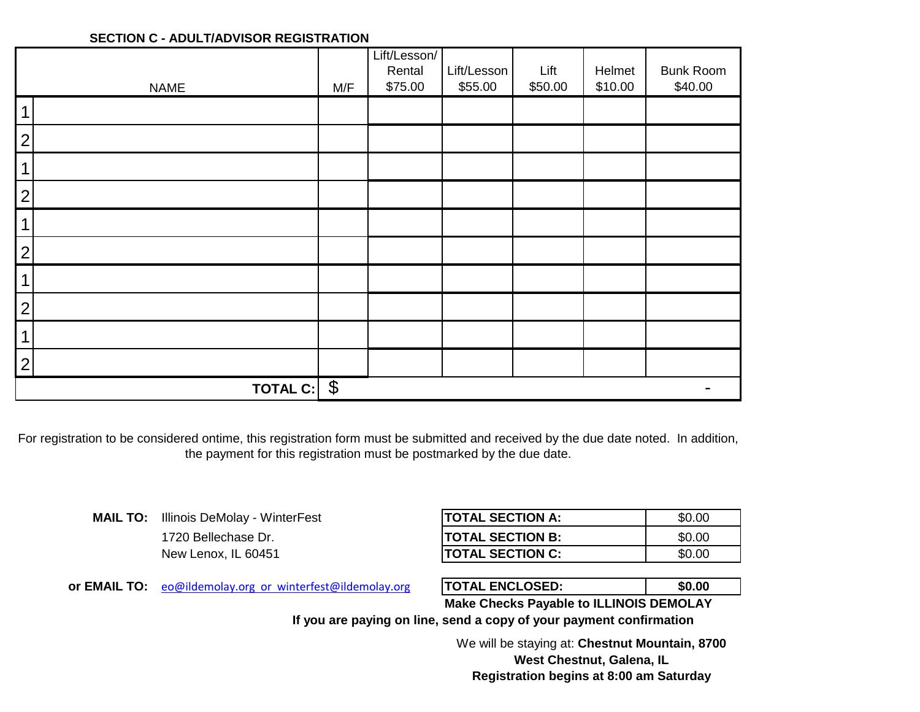## **SECTION C - ADULT/ADVISOR REGISTRATION**

|                |                                          |     | Lift/Lesson/ |             |         |         |                  |
|----------------|------------------------------------------|-----|--------------|-------------|---------|---------|------------------|
|                |                                          |     | Rental       | Lift/Lesson | Lift    | Helmet  | <b>Bunk Room</b> |
|                | <b>NAME</b>                              | M/F | \$75.00      | \$55.00     | \$50.00 | \$10.00 | \$40.00          |
| 1              |                                          |     |              |             |         |         |                  |
| $\overline{2}$ |                                          |     |              |             |         |         |                  |
| 1              |                                          |     |              |             |         |         |                  |
| $\mathbf{2}$   |                                          |     |              |             |         |         |                  |
| 1              |                                          |     |              |             |         |         |                  |
| $\overline{2}$ |                                          |     |              |             |         |         |                  |
| 1              |                                          |     |              |             |         |         |                  |
| $\overline{2}$ |                                          |     |              |             |         |         |                  |
| 1              |                                          |     |              |             |         |         |                  |
| $\overline{2}$ |                                          |     |              |             |         |         |                  |
|                | $\boldsymbol{\theta}$<br><b>TOTAL C:</b> |     |              |             |         |         |                  |

For registration to be considered ontime, this registration form must be submitted and received by the due date noted. In addition, the payment for this registration must be postmarked by the due date.

> 1720 Bellechase Dr. **MAIL TO:** Illinois DeMolay - WinterFest New Lenox, IL 60451

| ITOTAL SECTION A:        | \$0.00 |
|--------------------------|--------|
| <b>ITOTAL SECTION B:</b> | \$0.00 |
| <b>TOTAL SECTION C:</b>  | \$0.00 |

or EMAIL TO: [eo@ildemolay.o](mailto:eo@ildemolay.org%20%20or%20%20winterfest@ildemolay.org)rg or winterfest@ildemolay.org **FOTAL ENCLOSED:** \$0.00

| <b>TOTAL ENCLOSED:</b>                                  | \$0.00 |  |  |
|---------------------------------------------------------|--------|--|--|
| $\mathbf{H}$ is a constant of the contract $\mathbf{H}$ |        |  |  |

**Make Checks Payable to ILLINOIS DEMOLAY**

**If you are paying on line, send a copy of your payment confirmation**

We will be staying at: **Chestnut Mountain, 8700 West Chestnut, Galena, IL Registration begins at 8:00 am Saturday**